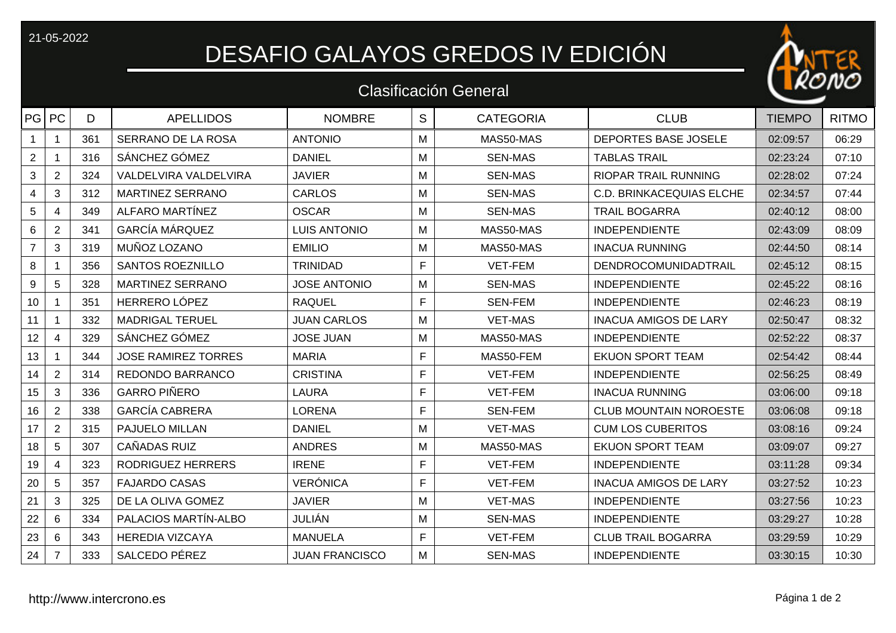## 21-05-2022<br>DESAFIO GALAYOS GREDOS IV EDICIÓN

## Clasificación General

| PG PC           |                | D   | <b>APELLIDOS</b>           | <b>NOMBRE</b>         | S | <b>CATEGORIA</b> | <b>CLUB</b>                     | <b>TIEMPO</b> | <b>RITMO</b> |
|-----------------|----------------|-----|----------------------------|-----------------------|---|------------------|---------------------------------|---------------|--------------|
|                 |                | 361 | SERRANO DE LA ROSA         | <b>ANTONIO</b>        | M | MAS50-MAS        | DEPORTES BASE JOSELE            | 02:09:57      | 06:29        |
| $\overline{2}$  |                | 316 | SÁNCHEZ GÓMEZ              | <b>DANIEL</b>         | M | <b>SEN-MAS</b>   | <b>TABLAS TRAIL</b>             | 02:23:24      | 07:10        |
| 3               | $\overline{2}$ | 324 | VALDELVIRA VALDELVIRA      | <b>JAVIER</b>         | M | <b>SEN-MAS</b>   | <b>RIOPAR TRAIL RUNNING</b>     | 02:28:02      | 07:24        |
| 4               | $\mathfrak{S}$ | 312 | <b>MARTINEZ SERRANO</b>    | <b>CARLOS</b>         | M | <b>SEN-MAS</b>   | <b>C.D. BRINKACEQUIAS ELCHE</b> | 02:34:57      | 07:44        |
| 5               | 4              | 349 | ALFARO MARTÍNEZ            | <b>OSCAR</b>          | M | <b>SEN-MAS</b>   | <b>TRAIL BOGARRA</b>            | 02:40:12      | 08:00        |
| 6               | $\overline{2}$ | 341 | <b>GARCÍA MÁRQUEZ</b>      | <b>LUIS ANTONIO</b>   | M | MAS50-MAS        | <b>INDEPENDIENTE</b>            | 02:43:09      | 08:09        |
| $\overline{7}$  | 3              | 319 | MUÑOZ LOZANO               | <b>EMILIO</b>         | M | MAS50-MAS        | <b>INACUA RUNNING</b>           | 02:44:50      | 08:14        |
| 8               |                | 356 | <b>SANTOS ROEZNILLO</b>    | <b>TRINIDAD</b>       | F | VET-FEM          | DENDROCOMUNIDADTRAIL            | 02:45:12      | 08:15        |
| 9               | $\overline{5}$ | 328 | <b>MARTINEZ SERRANO</b>    | <b>JOSE ANTONIO</b>   | M | <b>SEN-MAS</b>   | <b>INDEPENDIENTE</b>            | 02:45:22      | 08:16        |
| 10              |                | 351 | HERRERO LÓPEZ              | <b>RAQUEL</b>         | E | <b>SEN-FEM</b>   | <b>INDEPENDIENTE</b>            | 02:46:23      | 08:19        |
| 11              |                | 332 | <b>MADRIGAL TERUEL</b>     | <b>JUAN CARLOS</b>    | M | <b>VET-MAS</b>   | <b>INACUA AMIGOS DE LARY</b>    | 02:50:47      | 08:32        |
| 12 <sub>2</sub> | 4              | 329 | SÁNCHEZ GÓMEZ              | <b>JOSE JUAN</b>      | M | MAS50-MAS        | <b>INDEPENDIENTE</b>            | 02:52:22      | 08:37        |
| 13              |                | 344 | <b>JOSE RAMIREZ TORRES</b> | <b>MARIA</b>          | F | MAS50-FEM        | <b>EKUON SPORT TEAM</b>         | 02:54:42      | 08:44        |
| 14              | $\overline{2}$ | 314 | REDONDO BARRANCO           | <b>CRISTINA</b>       | F | VET-FEM          | <b>INDEPENDIENTE</b>            | 02:56:25      | 08:49        |
| 15              | $\mathbf{3}$   | 336 | <b>GARRO PIÑERO</b>        | <b>LAURA</b>          | F | <b>VET-FEM</b>   | <b>INACUA RUNNING</b>           | 03:06:00      | 09:18        |
| 16              | $\overline{2}$ | 338 | <b>GARCÍA CABRERA</b>      | <b>LORENA</b>         | F | <b>SEN-FEM</b>   | <b>CLUB MOUNTAIN NOROESTE</b>   | 03:06:08      | 09:18        |
| 17              | $\overline{2}$ | 315 | PAJUELO MILLAN             | <b>DANIEL</b>         | M | <b>VET-MAS</b>   | <b>CUM LOS CUBERITOS</b>        | 03:08:16      | 09:24        |
| 18              | $\overline{5}$ | 307 | CAÑADAS RUIZ               | <b>ANDRES</b>         | M | MAS50-MAS        | <b>EKUON SPORT TEAM</b>         | 03:09:07      | 09:27        |
| 19              | $\overline{4}$ | 323 | <b>RODRIGUEZ HERRERS</b>   | <b>IRENE</b>          | E | VET-FEM          | <b>INDEPENDIENTE</b>            | 03:11:28      | 09:34        |
| 20              | 5              | 357 | <b>FAJARDO CASAS</b>       | <b>VERÓNICA</b>       | F | <b>VET-FEM</b>   | <b>INACUA AMIGOS DE LARY</b>    | 03:27:52      | 10:23        |
| 21              | $\mathbf{3}$   | 325 | DE LA OLIVA GOMEZ          | <b>JAVIER</b>         | M | <b>VET-MAS</b>   | <b>INDEPENDIENTE</b>            | 03:27:56      | 10:23        |
| 22              | 6              | 334 | PALACIOS MARTÍN-ALBO       | JULIÁN                | M | <b>SEN-MAS</b>   | <b>INDEPENDIENTE</b>            | 03:29:27      | 10:28        |
| 23              | 6              | 343 | <b>HEREDIA VIZCAYA</b>     | <b>MANUELA</b>        | F | <b>VET-FEM</b>   | <b>CLUB TRAIL BOGARRA</b>       | 03:29:59      | 10:29        |
| 24              | $\overline{7}$ | 333 | SALCEDO PÉREZ              | <b>JUAN FRANCISCO</b> | М | <b>SEN-MAS</b>   | <b>INDEPENDIENTE</b>            | 03:30:15      | 10:30        |